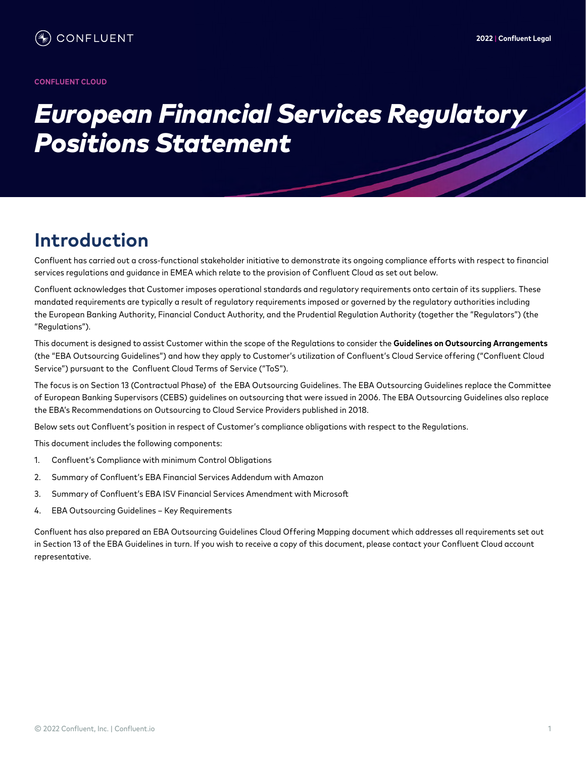#### **CONFLUENT CLOUD**

# *European Financial Services Regulatory Positions Statement*

# **Introduction**

Confluent has carried out a cross-functional stakeholder initiative to demonstrate its ongoing compliance efforts with respect to financial services regulations and guidance in EMEA which relate to the provision of Confluent Cloud as set out below.

Confluent acknowledges that Customer imposes operational standards and regulatory requirements onto certain of its suppliers. These mandated requirements are typically a result of regulatory requirements imposed or governed by the regulatory authorities including the European Banking Authority, Financial Conduct Authority, and the Prudential Regulation Authority (together the "Regulators") (the "Regulations").

This document is designed to assist Customer within the scope of the Regulations to consider the **Guidelines on Outsourcing Arrangements**  (the "EBA Outsourcing Guidelines") and how they apply to Customer's utilization of Confluent's Cloud Service offering ("Confluent Cloud Service") pursuant to the Confluent Cloud Terms of Service ("ToS").

The focus is on Section 13 (Contractual Phase) of the EBA Outsourcing Guidelines. The EBA Outsourcing Guidelines replace the Committee of European Banking Supervisors (CEBS) guidelines on outsourcing that were issued in 2006. The EBA Outsourcing Guidelines also replace the EBA's Recommendations on Outsourcing to Cloud Service Providers published in 2018.

Below sets out Confluent's position in respect of Customer's compliance obligations with respect to the Regulations.

This document includes the following components:

- 1. Confluent's Compliance with minimum Control Obligations
- 2. Summary of Confluent's EBA Financial Services Addendum with Amazon
- 3. Summary of Confluent's EBA ISV Financial Services Amendment with Microsoft
- 4. EBA Outsourcing Guidelines Key Requirements

Confluent has also prepared an EBA Outsourcing Guidelines Cloud Offering Mapping document which addresses all requirements set out in Section 13 of the EBA Guidelines in turn. If you wish to receive a copy of this document, please contact your Confluent Cloud account representative.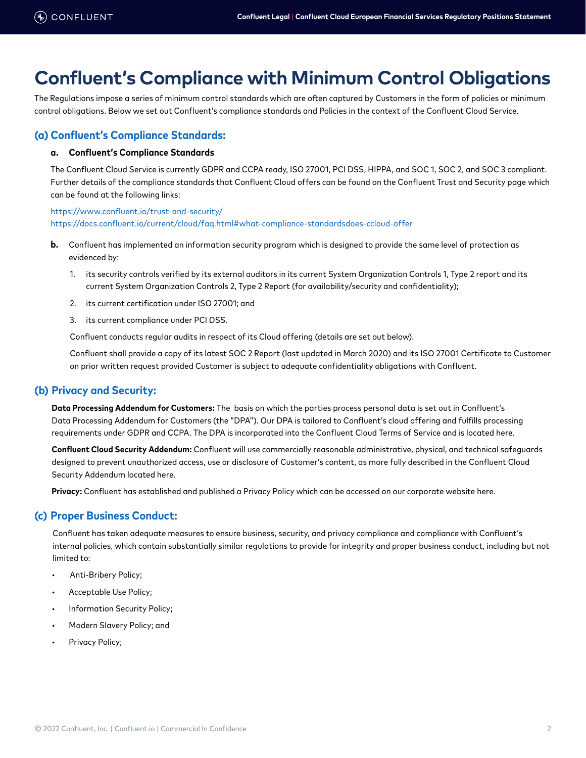# **Confluent's Compliance with Minimum Control Obligations**

The Regulations impose a series of minimum control standards which are often captured by Customers in the form of policies or minimum control obligations. Below we set out Confluent's compliance standards and Policies in the context of the Confluent Cloud Service.

# **(a) Confluent's Compliance Standards:**

### **a. Confluent's Compliance Standards**

The Confluent Cloud Service is currently GDPR and CCPA ready, ISO 27001, PCI DSS, HIPPA, and SOC 1, SOC 2, and SOC 3 compliant. Further details of the compliance standards that Confluent Cloud offers can be found on the Confluent Trust and Security page which can be found at the following links:

<https://www.confluent.io/trust-and-security/> [https://docs.confluent.io/current/cloud/faq.html#what-compliance-standardsdoes-ccloud-offer](https://docs.confluent.io/current/cloud/faq.html#what-compliance-standardsdoes-ccloud-offer.)

- **b.** Confluent has implemented an information security program which is designed to provide the same level of protection as evidenced by:
	- 1. its security controls verified by its external auditors in its current System Organization Controls 1, Type 2 report and its current System Organization Controls 2, Type 2 Report (for availability/security and confidentiality);
	- 2. its current certification under ISO 27001; and
	- 3. its current compliance under PCI DSS.

Confluent conducts regular audits in respect of its Cloud offering (details are set out below).

Confluent shall provide a copy of its latest SOC 2 Report (last updated in March 2020) and its ISO 27001 Certificate to Customer on prior written request provided Customer is subject to adequate confidentiality obligations with Confluent.

# **(b) Privacy and Security:**

**Data Processing Addendum for Customers:** The basis on which the parties process personal data is set out in Confluent's Data Processing Addendum for Customers (the "DPA"). Our DPA is tailored to Confluent's cloud offering and fulfills processing requirements under GDPR and CCPA. The DPA is incorporated into the Confluent Cloud Terms of Service and is located here.

**Confluent Cloud Security Addendum:** Confluent will use commercially reasonable administrative, physical, and technical safeguards designed to prevent unauthorized access, use or disclosure of Customer's content, as more fully described in the Confluent Cloud Security Addendum located here.

**Privacy:** Confluent has established and published a Privacy Policy which can be accessed on our corporate website here.

### **(c) Proper Business Conduct:**

Confluent has taken adequate measures to ensure business, security, and privacy compliance and compliance with Confluent's internal policies, which contain substantially similar regulations to provide for integrity and proper business conduct, including but not limited to:

- Anti-Bribery Policy;
- Acceptable Use Policy;
- Information Security Policy;
- Modern Slavery Policy; and
- Privacy Policy;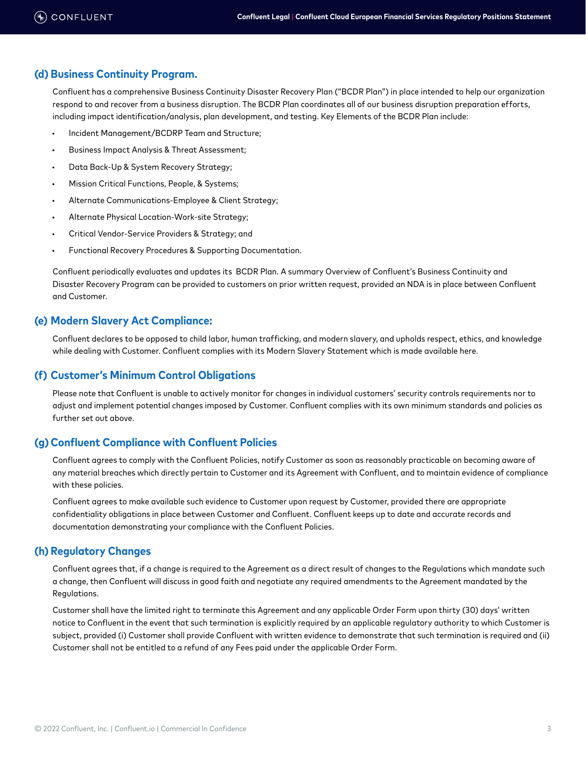### **(d) Business Continuity Program.**

Confluent has a comprehensive Business Continuity Disaster Recovery Plan ("BCDR Plan") in place intended to help our organization respond to and recover from a business disruption. The BCDR Plan coordinates all of our business disruption preparation efforts, including impact identification/analysis, plan development, and testing. Key Elements of the BCDR Plan include:

- Incident Management/BCDRP Team and Structure;
- Business Impact Analysis & Threat Assessment;
- Data Back-Up & System Recovery Strategy;
- Mission Critical Functions, People, & Systems;
- Alternate Communications-Employee & Client Strategy;
- Alternate Physical Location-Work-site Strategy;
- Critical Vendor-Service Providers & Strategy; and
- Functional Recovery Procedures & Supporting Documentation.

Confluent periodically evaluates and updates its BCDR Plan. A summary Overview of Confluent's Business Continuity and Disaster Recovery Program can be provided to customers on prior written request, provided an NDA is in place between Confluent and Customer.

### **(e) Modern Slavery Act Compliance:**

Confluent declares to be opposed to child labor, human trafficking, and modern slavery, and upholds respect, ethics, and knowledge while dealing with Customer. Confluent complies with its Modern Slavery Statement which is made available here.

### **(f) Customer's Minimum Control Obligations**

Please note that Confluent is unable to actively monitor for changes in individual customers' security controls requirements nor to adjust and implement potential changes imposed by Customer. Confluent complies with its own minimum standards and policies as further set out above.

### **(g)Confluent Compliance with Confluent Policies**

Confluent agrees to comply with the Confluent Policies, notify Customer as soon as reasonably practicable on becoming aware of any material breaches which directly pertain to Customer and its Agreement with Confluent, and to maintain evidence of compliance with these policies.

Confluent agrees to make available such evidence to Customer upon request by Customer, provided there are appropriate confidentiality obligations in place between Customer and Confluent. Confluent keeps up to date and accurate records and documentation demonstrating your compliance with the Confluent Policies.

### **(h) Regulatory Changes**

Confluent agrees that, if a change is required to the Agreement as a direct result of changes to the Regulations which mandate such a change, then Confluent will discuss in good faith and negotiate any required amendments to the Agreement mandated by the Regulations.

Customer shall have the limited right to terminate this Agreement and any applicable Order Form upon thirty (30) days' written notice to Confluent in the event that such termination is explicitly required by an applicable regulatory authority to which Customer is subject, provided (i) Customer shall provide Confluent with written evidence to demonstrate that such termination is required and (ii) Customer shall not be entitled to a refund of any Fees paid under the applicable Order Form.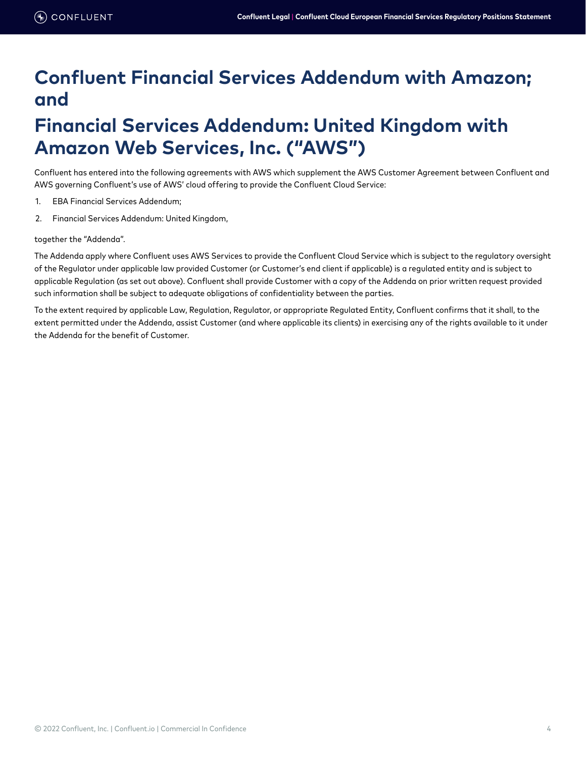# **Confluent Financial Services Addendum with Amazon; and**

# **Financial Services Addendum: United Kingdom with Amazon Web Services, Inc. ("AWS")**

Confluent has entered into the following agreements with AWS which supplement the AWS Customer Agreement between Confluent and AWS governing Confluent's use of AWS' cloud offering to provide the Confluent Cloud Service:

- 1. EBA Financial Services Addendum;
- 2. Financial Services Addendum: United Kingdom,

### together the "Addenda".

The Addenda apply where Confluent uses AWS Services to provide the Confluent Cloud Service which is subject to the regulatory oversight of the Regulator under applicable law provided Customer (or Customer's end client if applicable) is a regulated entity and is subject to applicable Regulation (as set out above). Confluent shall provide Customer with a copy of the Addenda on prior written request provided such information shall be subject to adequate obligations of confidentiality between the parties.

To the extent required by applicable Law, Regulation, Regulator, or appropriate Regulated Entity, Confluent confirms that it shall, to the extent permitted under the Addenda, assist Customer (and where applicable its clients) in exercising any of the rights available to it under the Addenda for the benefit of Customer.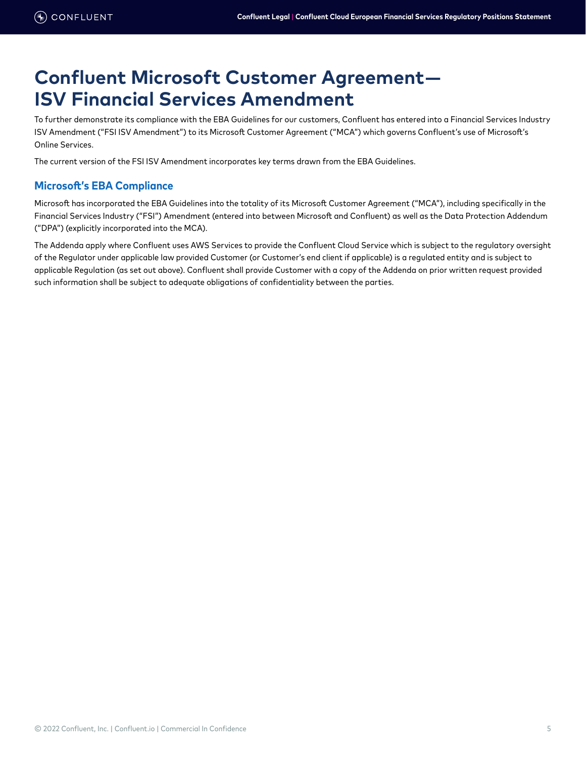# **Confluent Microsoft Customer Agreement— ISV Financial Services Amendment**

To further demonstrate its compliance with the EBA Guidelines for our customers, Confluent has entered into a Financial Services Industry ISV Amendment ("FSI ISV Amendment") to its Microsoft Customer Agreement ("MCA") which governs Confluent's use of Microsoft's Online Services.

The current version of the FSI ISV Amendment incorporates key terms drawn from the EBA Guidelines.

# **Microsoft's EBA Compliance**

Microsoft has incorporated the EBA Guidelines into the totality of its Microsoft Customer Agreement ("MCA"), including specifically in the Financial Services Industry ("FSI") Amendment (entered into between Microsoft and Confluent) as well as the Data Protection Addendum ("DPA") (explicitly incorporated into the MCA).

The Addenda apply where Confluent uses AWS Services to provide the Confluent Cloud Service which is subject to the regulatory oversight of the Regulator under applicable law provided Customer (or Customer's end client if applicable) is a regulated entity and is subject to applicable Regulation (as set out above). Confluent shall provide Customer with a copy of the Addenda on prior written request provided such information shall be subject to adequate obligations of confidentiality between the parties.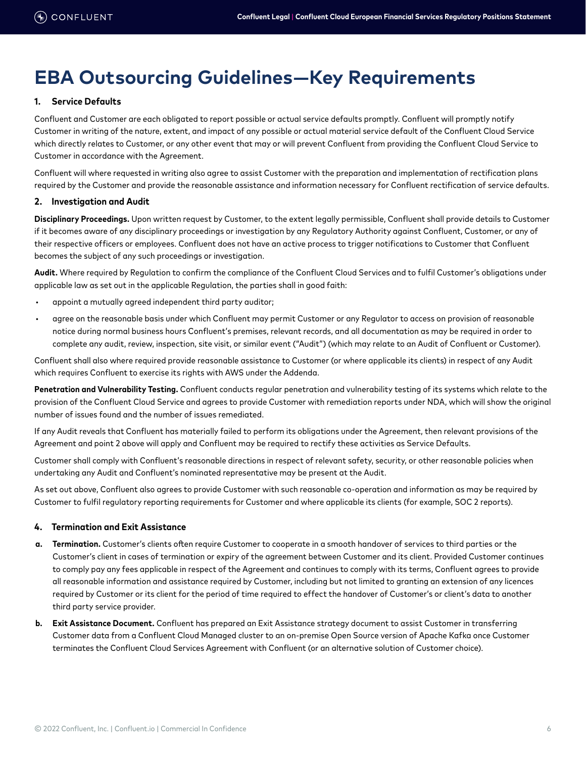# **EBA Outsourcing Guidelines—Key Requirements**

### **1. Service Defaults**

Confluent and Customer are each obligated to report possible or actual service defaults promptly. Confluent will promptly notify Customer in writing of the nature, extent, and impact of any possible or actual material service default of the Confluent Cloud Service which directly relates to Customer, or any other event that may or will prevent Confluent from providing the Confluent Cloud Service to Customer in accordance with the Agreement.

Confluent will where requested in writing also agree to assist Customer with the preparation and implementation of rectification plans required by the Customer and provide the reasonable assistance and information necessary for Confluent rectification of service defaults.

#### **2. Investigation and Audit**

**Disciplinary Proceedings.** Upon written request by Customer, to the extent legally permissible, Confluent shall provide details to Customer if it becomes aware of any disciplinary proceedings or investigation by any Regulatory Authority against Confluent, Customer, or any of their respective officers or employees. Confluent does not have an active process to trigger notifications to Customer that Confluent becomes the subject of any such proceedings or investigation.

**Audit.** Where required by Regulation to confirm the compliance of the Confluent Cloud Services and to fulfil Customer's obligations under applicable law as set out in the applicable Regulation, the parties shall in good faith:

- appoint a mutually agreed independent third party auditor;
- agree on the reasonable basis under which Confluent may permit Customer or any Regulator to access on provision of reasonable notice during normal business hours Confluent's premises, relevant records, and all documentation as may be required in order to complete any audit, review, inspection, site visit, or similar event ("Audit") (which may relate to an Audit of Confluent or Customer).

Confluent shall also where required provide reasonable assistance to Customer (or where applicable its clients) in respect of any Audit which requires Confluent to exercise its rights with AWS under the Addenda.

**Penetration and Vulnerability Testing.** Confluent conducts regular penetration and vulnerability testing of its systems which relate to the provision of the Confluent Cloud Service and agrees to provide Customer with remediation reports under NDA, which will show the original number of issues found and the number of issues remediated.

If any Audit reveals that Confluent has materially failed to perform its obligations under the Agreement, then relevant provisions of the Agreement and point 2 above will apply and Confluent may be required to rectify these activities as Service Defaults.

Customer shall comply with Confluent's reasonable directions in respect of relevant safety, security, or other reasonable policies when undertaking any Audit and Confluent's nominated representative may be present at the Audit.

As set out above, Confluent also agrees to provide Customer with such reasonable co-operation and information as may be required by Customer to fulfil regulatory reporting requirements for Customer and where applicable its clients (for example, SOC 2 reports).

### **4. Termination and Exit Assistance**

- **a. Termination.** Customer's clients often require Customer to cooperate in a smooth handover of services to third parties or the Customer's client in cases of termination or expiry of the agreement between Customer and its client. Provided Customer continues to comply pay any fees applicable in respect of the Agreement and continues to comply with its terms, Confluent agrees to provide all reasonable information and assistance required by Customer, including but not limited to granting an extension of any licences required by Customer or its client for the period of time required to effect the handover of Customer's or client's data to another third party service provider.
- **b. Exit Assistance Document.** Confluent has prepared an Exit Assistance strategy document to assist Customer in transferring Customer data from a Confluent Cloud Managed cluster to an on-premise Open Source version of Apache Kafka once Customer terminates the Confluent Cloud Services Agreement with Confluent (or an alternative solution of Customer choice).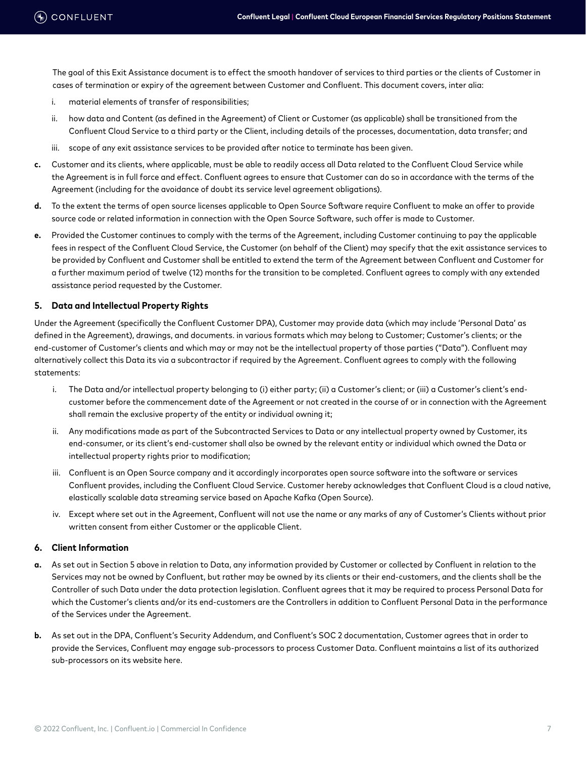The goal of this Exit Assistance document is to effect the smooth handover of services to third parties or the clients of Customer in cases of termination or expiry of the agreement between Customer and Confluent. This document covers, inter alia:

- i. material elements of transfer of responsibilities;
- ii. how data and Content (as defined in the Agreement) of Client or Customer (as applicable) shall be transitioned from the Confluent Cloud Service to a third party or the Client, including details of the processes, documentation, data transfer; and
- iii. scope of any exit assistance services to be provided after notice to terminate has been given.
- **c.** Customer and its clients, where applicable, must be able to readily access all Data related to the Confluent Cloud Service while the Agreement is in full force and effect. Confluent agrees to ensure that Customer can do so in accordance with the terms of the Agreement (including for the avoidance of doubt its service level agreement obligations).
- **d.** To the extent the terms of open source licenses applicable to Open Source Software require Confluent to make an offer to provide source code or related information in connection with the Open Source Software, such offer is made to Customer.
- **e.** Provided the Customer continues to comply with the terms of the Agreement, including Customer continuing to pay the applicable fees in respect of the Confluent Cloud Service, the Customer (on behalf of the Client) may specify that the exit assistance services to be provided by Confluent and Customer shall be entitled to extend the term of the Agreement between Confluent and Customer for a further maximum period of twelve (12) months for the transition to be completed. Confluent agrees to comply with any extended assistance period requested by the Customer.

#### **5. Data and Intellectual Property Rights**

Under the Agreement (specifically the Confluent Customer DPA), Customer may provide data (which may include 'Personal Data' as defined in the Agreement), drawings, and documents. in various formats which may belong to Customer; Customer's clients; or the end-customer of Customer's clients and which may or may not be the intellectual property of those parties ("Data"). Confluent may alternatively collect this Data its via a subcontractor if required by the Agreement. Confluent agrees to comply with the following statements:

- i. The Data and/or intellectual property belonging to (i) either party; (ii) a Customer's client; or (iii) a Customer's client's endcustomer before the commencement date of the Agreement or not created in the course of or in connection with the Agreement shall remain the exclusive property of the entity or individual owning it;
- ii. Any modifications made as part of the Subcontracted Services to Data or any intellectual property owned by Customer, its end-consumer, or its client's end-customer shall also be owned by the relevant entity or individual which owned the Data or intellectual property rights prior to modification;
- iii. Confluent is an Open Source company and it accordingly incorporates open source software into the software or services Confluent provides, including the Confluent Cloud Service. Customer hereby acknowledges that Confluent Cloud is a cloud native, elastically scalable data streaming service based on Apache Kafka (Open Source).
- iv. Except where set out in the Agreement, Confluent will not use the name or any marks of any of Customer's Clients without prior written consent from either Customer or the applicable Client.

### **6. Client Information**

- **a.** As set out in Section 5 above in relation to Data, any information provided by Customer or collected by Confluent in relation to the Services may not be owned by Confluent, but rather may be owned by its clients or their end-customers, and the clients shall be the Controller of such Data under the data protection legislation. Confluent agrees that it may be required to process Personal Data for which the Customer's clients and/or its end-customers are the Controllers in addition to Confluent Personal Data in the performance of the Services under the Agreement.
- **b.** As set out in the DPA, Confluent's Security Addendum, and Confluent's SOC 2 documentation, Customer agrees that in order to provide the Services, Confluent may engage sub-processors to process Customer Data. Confluent maintains a list of its authorized sub-processors on its website here.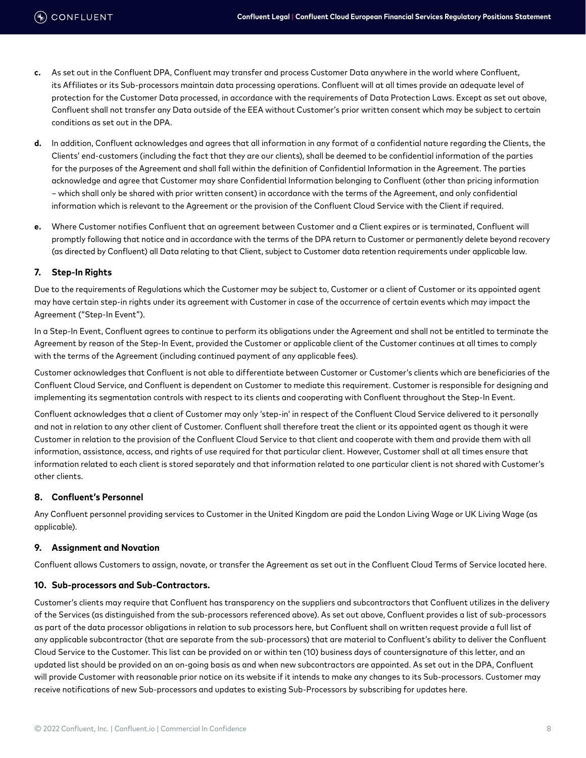- **c.** As set out in the Confluent DPA, Confluent may transfer and process Customer Data anywhere in the world where Confluent, its Affiliates or its Sub-processors maintain data processing operations. Confluent will at all times provide an adequate level of protection for the Customer Data processed, in accordance with the requirements of Data Protection Laws. Except as set out above, Confluent shall not transfer any Data outside of the EEA without Customer's prior written consent which may be subject to certain conditions as set out in the DPA.
- **d.** In addition, Confluent acknowledges and agrees that all information in any format of a confidential nature regarding the Clients, the Clients' end-customers (including the fact that they are our clients), shall be deemed to be confidential information of the parties for the purposes of the Agreement and shall fall within the definition of Confidential Information in the Agreement. The parties acknowledge and agree that Customer may share Confidential Information belonging to Confluent (other than pricing information – which shall only be shared with prior written consent) in accordance with the terms of the Agreement, and only confidential information which is relevant to the Agreement or the provision of the Confluent Cloud Service with the Client if required.
- **e.** Where Customer notifies Confluent that an agreement between Customer and a Client expires or is terminated, Confluent will promptly following that notice and in accordance with the terms of the DPA return to Customer or permanently delete beyond recovery (as directed by Confluent) all Data relating to that Client, subject to Customer data retention requirements under applicable law.

### **7. Step-In Rights**

Due to the requirements of Regulations which the Customer may be subject to, Customer or a client of Customer or its appointed agent may have certain step-in rights under its agreement with Customer in case of the occurrence of certain events which may impact the Agreement ("Step-In Event").

In a Step-In Event, Confluent agrees to continue to perform its obligations under the Agreement and shall not be entitled to terminate the Agreement by reason of the Step-In Event, provided the Customer or applicable client of the Customer continues at all times to comply with the terms of the Agreement (including continued payment of any applicable fees).

Customer acknowledges that Confluent is not able to differentiate between Customer or Customer's clients which are beneficiaries of the Confluent Cloud Service, and Confluent is dependent on Customer to mediate this requirement. Customer is responsible for designing and implementing its segmentation controls with respect to its clients and cooperating with Confluent throughout the Step-In Event.

Confluent acknowledges that a client of Customer may only 'step-in' in respect of the Confluent Cloud Service delivered to it personally and not in relation to any other client of Customer. Confluent shall therefore treat the client or its appointed agent as though it were Customer in relation to the provision of the Confluent Cloud Service to that client and cooperate with them and provide them with all information, assistance, access, and rights of use required for that particular client. However, Customer shall at all times ensure that information related to each client is stored separately and that information related to one particular client is not shared with Customer's other clients.

### **8. Confluent's Personnel**

Any Confluent personnel providing services to Customer in the United Kingdom are paid the London Living Wage or UK Living Wage (as applicable).

### **9. Assignment and Novation**

Confluent allows Customers to assign, novate, or transfer the Agreement as set out in the Confluent Cloud Terms of Service located here.

#### **10. Sub-processors and Sub-Contractors.**

Customer's clients may require that Confluent has transparency on the suppliers and subcontractors that Confluent utilizes in the delivery of the Services (as distinguished from the sub-processors referenced above). As set out above, Confluent provides a list of sub-processors as part of the data processor obligations in relation to sub processors here, but Confluent shall on written request provide a full list of any applicable subcontractor (that are separate from the sub-processors) that are material to Confluent's ability to deliver the Confluent Cloud Service to the Customer. This list can be provided on or within ten (10) business days of countersignature of this letter, and an updated list should be provided on an on-going basis as and when new subcontractors are appointed. As set out in the DPA, Confluent will provide Customer with reasonable prior notice on its website if it intends to make any changes to its Sub-processors. Customer may receive notifications of new Sub-processors and updates to existing Sub-Processors by subscribing for updates here.